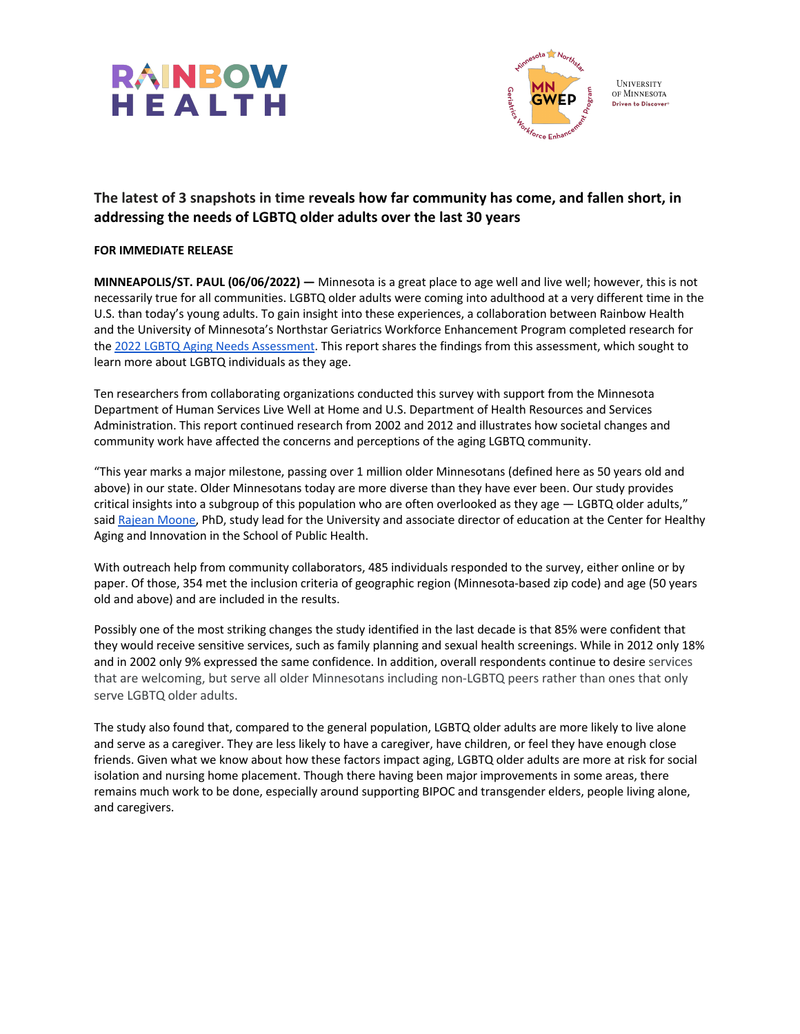



# **The latest of 3 snapshots in time reveals how far community has come, and fallen short, in addressing the needs of LGBTQ older adults over the last 30 years**

#### **FOR IMMEDIATE RELEASE**

**MINNEAPOLIS/ST. PAUL (06/06/2022) —** Minnesota is a great place to age well and live well; however, this is not necessarily true for all communities. LGBTQ older adults were coming into adulthood at a very different time in the U.S. than today's young adults. To gain insight into these experiences, a collaboration between Rainbow Health and the University of Minnesota's Northstar Geriatrics Workforce Enhancement Program completed research for the 2022 LGBTQ Aging Needs Assessment. This report shares the findings from this assessment, which sought to learn more about LGBTQ individuals as they age.

Ten researchers from collaborating organizations conducted this survey with support from the Minnesota Department of Human Services Live Well at Home and U.S. Department of Health Resources and Services Administration. This report continued research from 2002 and 2012 and illustrates how societal changes and community work have affected the concerns and perceptions of the aging LGBTQ community.

"This year marks a major milestone, passing over 1 million older Minnesotans (defined here as 50 years old and above) in our state. Older Minnesotans today are more diverse than they have ever been. Our study provides critical insights into a subgroup of this population who are often overlooked as they age — LGBTQ older adults," said Rajean Moone, PhD, study lead for the University and associate director of education at the Center for Healthy Aging and Innovation in the School of Public Health.

With outreach help from community collaborators, 485 individuals responded to the survey, either online or by paper. Of those, 354 met the inclusion criteria of geographic region (Minnesota-based zip code) and age (50 years old and above) and are included in the results.

Possibly one of the most striking changes the study identified in the last decade is that 85% were confident that they would receive sensitive services, such as family planning and sexual health screenings. While in 2012 only 18% and in 2002 only 9% expressed the same confidence. In addition, overall respondents continue to desire services that are welcoming, but serve all older Minnesotans including non-LGBTQ peers rather than ones that only serve LGBTQ older adults.

The study also found that, compared to the general population, LGBTQ older adults are more likely to live alone and serve as a caregiver. They are less likely to have a caregiver, have children, or feel they have enough close friends. Given what we know about how these factors impact aging, LGBTQ older adults are more at risk for social isolation and nursing home placement. Though there having been major improvements in some areas, there remains much work to be done, especially around supporting BIPOC and transgender elders, people living alone, and caregivers.